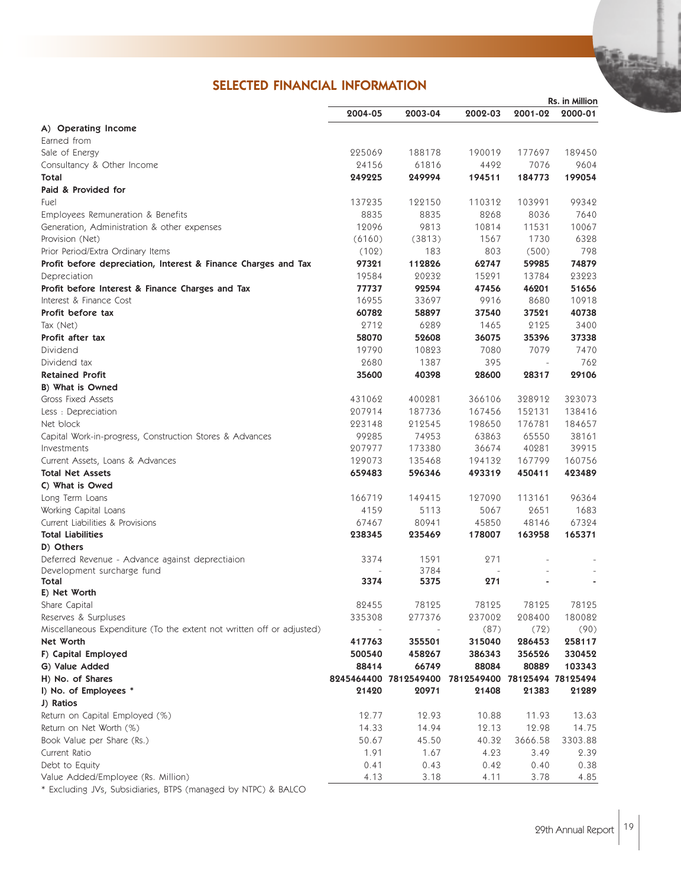## SELECTED FINANCIAL INFORMATION

|                                                                       | Rs. in Million |                       |                              |                          |         |
|-----------------------------------------------------------------------|----------------|-----------------------|------------------------------|--------------------------|---------|
|                                                                       | 2004-05        | 2003-04               | 2002-03                      | 2001-02                  | 2000-01 |
| A) Operating Income                                                   |                |                       |                              |                          |         |
| Earned from                                                           |                |                       |                              |                          |         |
| Sale of Energy                                                        | 225069         | 188178                | 190019                       | 177697                   | 189450  |
| Consultancy & Other Income                                            | 24156          | 61816                 | 4492                         | 7076                     | 9604    |
| Total                                                                 | 249225         | 249994                | 194511                       | 184773                   | 199054  |
| Paid & Provided for                                                   |                |                       |                              |                          |         |
| Fuel                                                                  | 137235         | 122150                | 110312                       | 103991                   | 99342   |
| Employees Remuneration & Benefits                                     | 8835           | 8835                  | 8268                         | 8036                     | 7640    |
| Generation, Administration & other expenses                           | 12096          | 9813                  | 10814                        | 11531                    | 10067   |
| Provision (Net)                                                       | (6160)         | (3813)                | 1567                         | 1730                     | 6328    |
| Prior Period/Extra Ordinary Items                                     | (102)          | 183                   | 803                          | (500)                    | 798     |
| Profit before depreciation, Interest & Finance Charges and Tax        | 97321          | 112826                | 62747                        | 59985                    | 74879   |
| Depreciation                                                          | 19584          | 20232                 | 15291                        | 13784                    | 23223   |
| Profit before Interest & Finance Charges and Tax                      | 77737          | 92594                 | 47456                        | 46201                    | 51656   |
| Interest & Finance Cost                                               | 16955          | 33697                 | 9916                         | 8680                     | 10918   |
| Profit before tax                                                     | 60782          | 58897                 | 37540                        | 37521                    | 40738   |
| Tax (Net)                                                             | 2712           | 6289                  | 1465                         | 2125                     | 3400    |
| Profit after tax                                                      | 58070          | 52608                 | 36075                        | 35396                    | 37338   |
| Dividend                                                              | 19790          | 10823                 | 7080                         | 7079                     | 7470    |
| Dividend tax                                                          | 2680           | 1387                  | 395                          | $\overline{\phantom{a}}$ | 762     |
| <b>Retained Profit</b>                                                | 35600          | 40398                 | 28600                        | 28317                    | 29106   |
| B) What is Owned                                                      |                |                       |                              |                          |         |
| <b>Gross Fixed Assets</b>                                             | 431062         | 400281                | 366106                       | 328912                   | 323073  |
| Less : Depreciation                                                   | 207914         | 187736                | 167456                       | 152131                   | 138416  |
| Net block                                                             | 223148         | 212545                | 198650                       | 176781                   | 184657  |
| Capital Work-in-progress, Construction Stores & Advances              | 99285          | 74953                 | 63863                        | 65550                    | 38161   |
| Investments                                                           | 207977         | 173380                | 36674                        | 40281                    | 39915   |
| Current Assets, Loans & Advances                                      | 129073         | 135468                | 194132                       | 167799                   | 160756  |
| <b>Total Net Assets</b>                                               | 659483         | 596346                | 493319                       | 450411                   | 423489  |
| C) What is Owed                                                       |                |                       |                              |                          |         |
|                                                                       | 166719         |                       | 127090                       | 113161                   | 96364   |
| Long Term Loans                                                       |                | 149415                |                              |                          |         |
| Working Capital Loans                                                 | 4159           | 5113                  | 5067                         | 2651                     | 1683    |
| Current Liabilities & Provisions                                      | 67467          | 80941                 | 45850                        | 48146                    | 67324   |
| <b>Total Liabilities</b><br>D) Others                                 | 238345         | 235469                | 178007                       | 163958                   | 165371  |
| Deferred Revenue - Advance against deprectiaion                       | 3374           | 1591                  | 271                          |                          |         |
| Development surcharge fund                                            |                | 3784                  |                              |                          |         |
| Total                                                                 | 3374           | 5375                  | 271                          |                          |         |
| E) Net Worth                                                          |                |                       |                              |                          |         |
| Share Capital                                                         | 82455          | 78125                 | 78125                        | 78125                    | 78125   |
| Reserves & Surpluses                                                  | 335308         | 277376                | 237002                       | 208400                   | 180082  |
| Miscellaneous Expenditure (To the extent not written off or adjusted) |                |                       | (87)                         | (72)                     | (90)    |
| <b>Net Worth</b>                                                      | 417763         | 355501                | 315040                       | 286453                   | 258117  |
| F) Capital Employed                                                   | 500540         | 458267                | 386343                       | 356526                   | 330452  |
| G) Value Added                                                        | 88414          | 66749                 | 88084                        | 80889                    | 103343  |
| H) No. of Shares                                                      |                | 8245464400 7812549400 | 7812549400 78125494 78125494 |                          |         |
| I) No. of Employees *                                                 | 21420          | 20971                 | 21408                        | 21383                    | 21289   |
| J) Ratios                                                             |                |                       |                              |                          |         |
| Return on Capital Employed (%)                                        | 12.77          | 12.93                 | 10.88                        | 11.93                    | 13.63   |
| Return on Net Worth (%)                                               | 14.33          | 14.94                 | 12.13                        | 12.98                    | 14.75   |
| Book Value per Share (Rs.)                                            | 50.67          | 45.50                 | 40.32                        | 3666.58                  | 3303.88 |
| Current Ratio                                                         | 1.91           | 1.67                  | 4.23                         | 3.49                     | 2.39    |
| Debt to Equity                                                        | 0.41           |                       | 0.42                         |                          |         |
| Value Added/Employee (Rs. Million)                                    | 4.13           | 0.43<br>3.18          | 4.11                         | 0.40<br>3.78             | 0.38    |
|                                                                       |                |                       |                              |                          | 4.85    |

\* Excluding JVs, Subsidiaries, BTPS (managed by NTPC) & BALCO